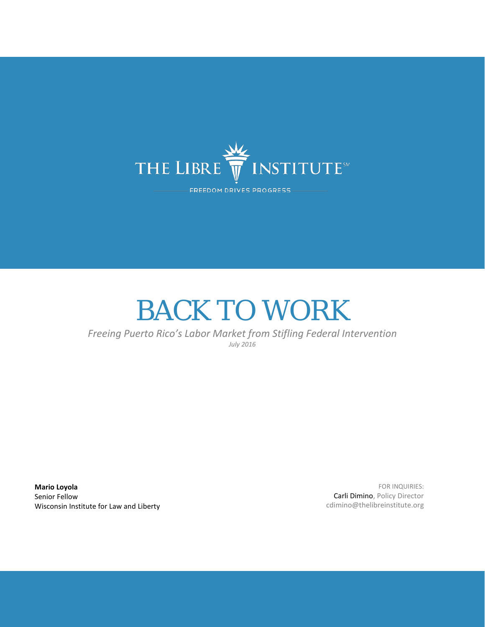

# BACK TO WORK

*Freeing Puerto Rico's Labor Market from Stifling Federal Intervention July 2016*

**Mario Loyola** Senior Fellow Wisconsin Institute for Law and Liberty

FOR INQUIRIES: Carli Dimino, Policy Director cdimino@thelibreinstitute.org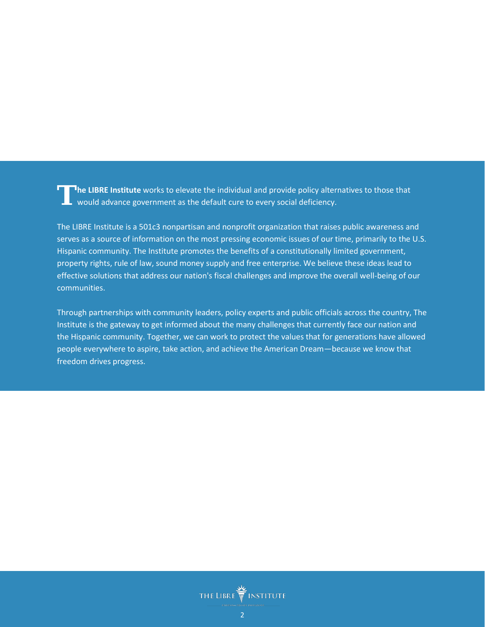**he LIBRE Institute** works to elevate the individual and provide policy alternatives to those that would advance government as the default cure to every social deficiency. **T**

The LIBRE Institute is a 501c3 nonpartisan and nonprofit organization that raises public awareness and serves as a source of information on the most pressing economic issues of our time, primarily to the U.S. Hispanic community. The Institute promotes the benefits of a constitutionally limited government, property rights, rule of law, sound money supply and free enterprise. We believe these ideas lead to effective solutions that address our nation's fiscal challenges and improve the overall well-being of our communities.

Through partnerships with community leaders, policy experts and public officials across the country, The Institute is the gateway to get informed about the many challenges that currently face our nation and the Hispanic community. Together, we can work to protect the values that for generations have allowed people everywhere to aspire, take action, and achieve the American Dream—because we know that freedom drives progress.

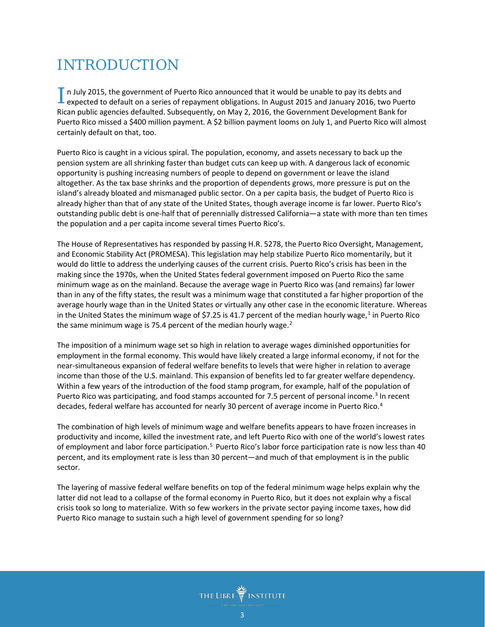# INTRODUCTION

In July 2015, the government of Puerto Rico announced that it would be unable to pay its debts and  $\Gamma$  n July 2015, the government of Puerto Rico announced that it would be unable to pay its debts and expected to default on a series of repayment obligations. In August 2015 and January 2016, two Puerto Rican public agencies defaulted. Subsequently, on May 2, 2016, the Government Development Bank for Puerto Rico missed a \$400 million payment. A \$2 billion payment looms on July 1, and Puerto Rico will almost certainly default on that, too.

Puerto Rico is caught in a vicious spiral. The population, economy, and assets necessary to back up the pension system are all shrinking faster than budget cuts can keep up with. A dangerous lack of economic opportunity is pushing increasing numbers of people to depend on government or leave the island altogether. As the tax base shrinks and the proportion of dependents grows, more pressure is put on the island's already bloated and mismanaged public sector. On a per capita basis, the budget of Puerto Rico is already higher than that of any state of the United States, though average income is far lower. Puerto Rico's outstanding public debt is one-half that of perennially distressed California—a state with more than ten times the population and a per capita income several times Puerto Rico's.

The House of Representatives has responded by passing H.R. 5278, the Puerto Rico Oversight, Management, and Economic Stability Act (PROMESA). This legislation may help stabilize Puerto Rico momentarily, but it would do little to address the underlying causes of the current crisis. Puerto Rico's crisis has been in the making since the 1970s, when the United States federal government imposed on Puerto Rico the same minimum wage as on the mainland. Because the average wage in Puerto Rico was (and remains) far lower than in any of the fifty states, the result was a minimum wage that constituted a far higher proportion of the average hourly wage than in the United States or virtually any other case in the economic literature. Whereas in the United States the minimum wage of \$7.25 is 4[1](#page-17-0).7 percent of the median hourly wage, $1$  in Puerto Rico the same minimum wage is 75.4 percent of the median hourly wage. $2$ 

The imposition of a minimum wage set so high in relation to average wages diminished opportunities for employment in the formal economy. This would have likely created a large informal economy, if not for the near-simultaneous expansion of federal welfare benefits to levels that were higher in relation to average income than those of the U.S. mainland. This expansion of benefits led to far greater welfare dependency. Within a few years of the introduction of the food stamp program, for example, half of the population of Puerto Rico was participating, and food stamps accounted for 7.5 percent of personal income.<sup>[3](#page-17-2)</sup> In recent decades, federal welfare has accounted for nearly 30 percent of average income in Puerto Rico.<sup>[4](#page-17-3)</sup>

The combination of high levels of minimum wage and welfare benefits appears to have frozen increases in productivity and income, killed the investment rate, and left Puerto Rico with one of the world's lowest rates of employment and labor force participation.<sup>[5](#page-17-4)</sup> Puerto Rico's labor force participation rate is now less than 40 percent, and its employment rate is less than 30 percent—and much of that employment is in the public sector.

The layering of massive federal welfare benefits on top of the federal minimum wage helps explain why the latter did not lead to a collapse of the formal economy in Puerto Rico, but it does not explain why a fiscal crisis took so long to materialize. With so few workers in the private sector paying income taxes, how did Puerto Rico manage to sustain such a high level of government spending for so long?

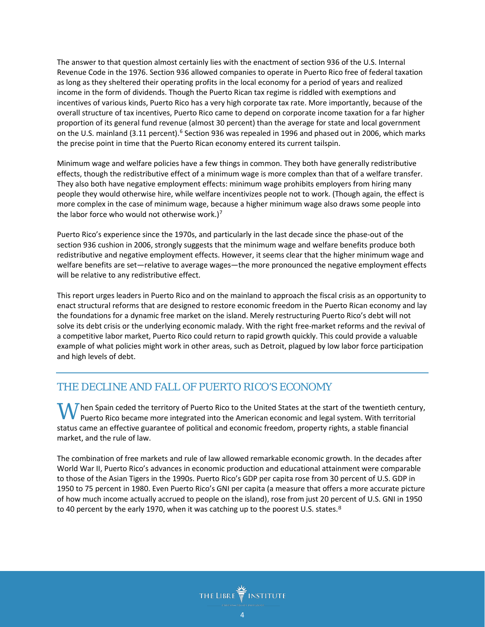The answer to that question almost certainly lies with the enactment of section 936 of the U.S. Internal Revenue Code in the 1976. Section 936 allowed companies to operate in Puerto Rico free of federal taxation as long as they sheltered their operating profits in the local economy for a period of years and realized income in the form of dividends. Though the Puerto Rican tax regime is riddled with exemptions and incentives of various kinds, Puerto Rico has a very high corporate tax rate. More importantly, because of the overall structure of tax incentives, Puerto Rico came to depend on corporate income taxation for a far higher proportion of its general fund revenue (almost 30 percent) than the average for state and local government on the U.S. mainland (3.11 percent).<sup>[6](#page-17-5)</sup> Section 936 was repealed in 1996 and phased out in 2006, which marks the precise point in time that the Puerto Rican economy entered its current tailspin.

Minimum wage and welfare policies have a few things in common. They both have generally redistributive effects, though the redistributive effect of a minimum wage is more complex than that of a welfare transfer. They also both have negative employment effects: minimum wage prohibits employers from hiring many people they would otherwise hire, while welfare incentivizes people not to work. (Though again, the effect is more complex in the case of minimum wage, because a higher minimum wage also draws some people into the labor force who would not otherwise work.)<sup>[7](#page-17-6)</sup>

Puerto Rico's experience since the 1970s, and particularly in the last decade since the phase-out of the section 936 cushion in 2006, strongly suggests that the minimum wage and welfare benefits produce both redistributive and negative employment effects. However, it seems clear that the higher minimum wage and welfare benefits are set—relative to average wages—the more pronounced the negative employment effects will be relative to any redistributive effect.

This report urges leaders in Puerto Rico and on the mainland to approach the fiscal crisis as an opportunity to enact structural reforms that are designed to restore economic freedom in the Puerto Rican economy and lay the foundations for a dynamic free market on the island. Merely restructuring Puerto Rico's debt will not solve its debt crisis or the underlying economic malady. With the right free-market reforms and the revival of a competitive labor market, Puerto Rico could return to rapid growth quickly. This could provide a valuable example of what policies might work in other areas, such as Detroit, plagued by low labor force participation and high levels of debt.

# THE DECLINE AND FALL OF PUERTO RICO'S ECONOMY

 $\boldsymbol{W}$  hen Spain ceded the territory of Puerto Rico to the United States at the start of the twentieth century, Puerto Rico became more integrated into the American economic and legal system. With territorial Puerto Rico became more integrated into the American economic and legal system. With territorial status came an effective guarantee of political and economic freedom, property rights, a stable financial market, and the rule of law.

The combination of free markets and rule of law allowed remarkable economic growth. In the decades after World War II, Puerto Rico's advances in economic production and educational attainment were comparable to those of the Asian Tigers in the 1990s. Puerto Rico's GDP per capita rose from 30 percent of U.S. GDP in 1950 to 75 percent in 1980. Even Puerto Rico's GNI per capita (a measure that offers a more accurate picture of how much income actually accrued to people on the island), rose from just 20 p[er](#page-17-7)cent of U.S. GNI in 1950 to 40 percent by the early 1970, when it was catching up to the poorest U.S. states.<sup>8</sup>

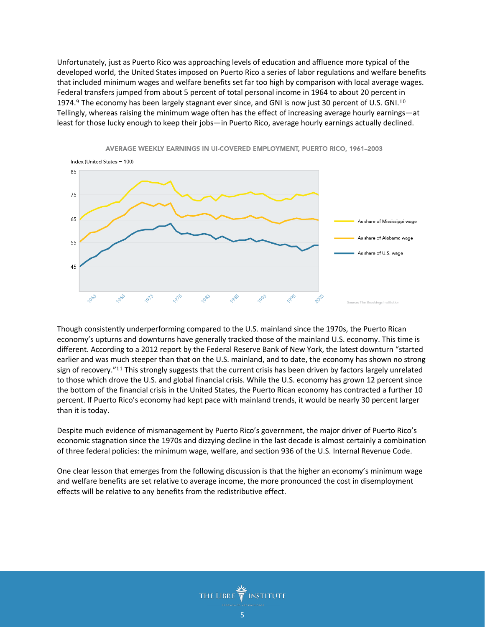Unfortunately, just as Puerto Rico was approaching levels of education and affluence more typical of the developed world, the United States imposed on Puerto Rico a series of labor regulations and welfare benefits that included minimum wages and welfare benefits set far too high by comparison with local average wages. Fede[ra](#page-17-8)l transfers jumped from about 5 percent of total personal income in 1964 to about 20 percent [in](#page-17-9)  1974.<sup>9</sup> The economy has been largely stagnant ever since, and GNI is now just 30 percent of U.S. GNI.<sup>10</sup> Tellingly, whereas raising the minimum wage often has the effect of increasing average hourly earnings—at least for those lucky enough to keep their jobs—in Puerto Rico, average hourly earnings actually declined.



AVERAGE WEEKLY EARNINGS IN UI-COVERED EMPLOYMENT, PUERTO RICO, 1961-2003

Though consistently underperforming compared to the U.S. mainland since the 1970s, the Puerto Rican economy's upturns and downturns have generally tracked those of the mainland U.S. economy. This time is different. According to a 2012 report by the Federal Reserve Bank of New York, the latest downturn "started earlier and was [muc](#page-17-10)h steeper than that on the U.S. mainland, and to date, the economy has shown no strong sign of recovery."<sup>11</sup> This strongly suggests that the current crisis has been driven by factors largely unrelated to those which drove the U.S. and global financial crisis. While the U.S. economy has grown 12 percent since the bottom of the financial crisis in the United States, the Puerto Rican economy has contracted a further 10 percent. If Puerto Rico's economy had kept pace with mainland trends, it would be nearly 30 percent larger than it is today.

Despite much evidence of mismanagement by Puerto Rico's government, the major driver of Puerto Rico's economic stagnation since the 1970s and dizzying decline in the last decade is almost certainly a combination of three federal policies: the minimum wage, welfare, and section 936 of the U.S. Internal Revenue Code.

One clear lesson that emerges from the following discussion is that the higher an economy's minimum wage and welfare benefits are set relative to average income, the more pronounced the cost in disemployment effects will be relative to any benefits from the redistributive effect.

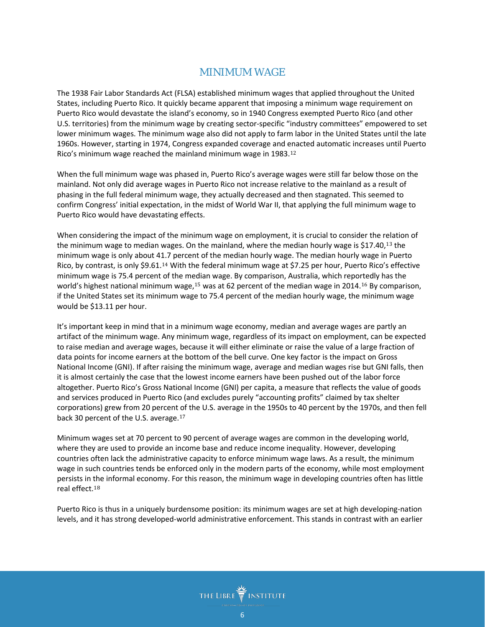# MINIMUM WAGE

The 1938 Fair Labor Standards Act (FLSA) established minimum wages that applied throughout the United States, including Puerto Rico. It quickly became apparent that imposing a minimum wage requirement on Puerto Rico would devastate the island's economy, so in 1940 Congress exempted Puerto Rico (and other U.S. territories) from the minimum wage by creating sector-specific "industry committees" empowered to set lower minimum wages. The minimum wage also did not apply to farm labor in the United States until the late 1960s. However, starting in 1974, Congress expanded coverage and [ena](#page-17-11)cted automatic increases until Puerto Rico's minimum wage reached the mainland minimum wage in 1983.<sup>12</sup>

When the full minimum wage was phased in, Puerto Rico's average wages were still far below those on the mainland. Not only did average wages in Puerto Rico not increase relative to the mainland as a result of phasing in the full federal minimum wage, they actually decreased and then stagnated. This seemed to confirm Congress' initial expectation, in the midst of World War II, that applying the full minimum wage to Puerto Rico would have devastating effects.

When considering the impact of the minimum wage on employment, it is crucial to consider the r[ela](#page-17-12)tion of the minimum wage to median wages. On the mainland, where the median hourly wage is \$17.40,<sup>13</sup> the minimum wage is only about 4[1.7](#page-17-13) percent of the median hourly wage. The median hourly wage in Puerto Rico, by contrast, is only \$9.61.<sup>14</sup> With the federal minimum wage at \$7.25 per hour, Puerto Rico's effective minimum wage is 75.4 percent of the m[edi](#page-18-0)an wage. By comparison, Australia, which repo[rte](#page-18-1)dly has the world's highest national minimum wage, <sup>15</sup> was at 62 percent of the median wage in 2014.<sup>16</sup> By comparison, if the United States set its minimum wage to 75.4 percent of the median hourly wage, the minimum wage would be \$13.11 per hour.

It's important keep in mind that in a minimum wage economy, median and average wages are partly an artifact of the minimum wage. Any minimum wage, regardless of its impact on employment, can be expected to raise median and average wages, because it will either eliminate or raise the value of a large fraction of data points for income earners at the bottom of the bell curve. One key factor is the impact on Gross National Income (GNI). If after raising the minimum wage, average and median wages rise but GNI falls, then it is almost certainly the case that the lowest income earners have been pushed out of the labor force altogether. Puerto Rico's Gross National Income (GNI) per capita, a measure that reflects the value of goods and services produced in Puerto Rico (and excludes purely "accounting profits" claimed by tax shelter corporations) grew from 20 percent [of](#page-18-2) the U.S. average in the 1950s to 40 percent by the 1970s, and then fell back 30 percent of the U.S. average.<sup>17</sup>

Minimum wages set at 70 percent to 90 percent of average wages are common in the developing world, where they are used to provide an income base and reduce income inequality. However, developing countries often lack the administrative capacity to enforce minimum wage laws. As a result, the minimum wage in such countries tends be enforced only in the modern parts of the economy, while most employment persists in [th](#page-18-3)e informal economy. For this reason, the minimum wage in developing countries often has little real effect.<sup>18</sup>

Puerto Rico is thus in a uniquely burdensome position: its minimum wages are set at high developing-nation levels, and it has strong developed-world administrative enforcement. This stands in contrast with an earlier

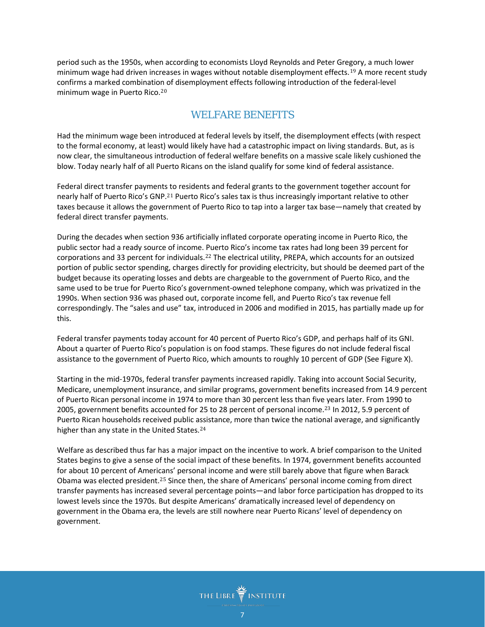n July 2015, the government of Puerto Rico announced that it would be unable to pay its debts and expected to default on a series of repayment obligations. In August 2015 and January 2016, two Puerto Rican public agencies defaulted. Subsequently, on May 2, 2016, the Government Development Bank for Puerto Rico missed a \$400 million payment. A \$2 billion payment looms on July 1, and Puerto Rico will almost certainly default on that, too.

Puerto Rico is caught in a vicious spiral. The population, economy, and assets necessary to back up the pension system are all shrinking faster than budget cuts can keep up with. A dangerous lack of economic opportunity is pushing increasing numbers of people to depend on government or leave the island altogether. As the tax base shrinks and the proportion of dependents grows, more pressure is put on the island's already bloated and mismanaged public sector. On a per capita basis, the budget of Puerto Rico is already higher than that of any state of the United States, though average income is far lower. Puerto Rico's outstanding public debt is one-half that of perennially distressed California-a state with more than ten times the population and a per capita income several times Puerto Rico's.

The House of Representatives has responded by passing H.R. 5278, the Puerto Rico Oversight, Management, and Economic Stability Act (PROMESA). This legislation may help stabilize Puerto Rico momentarily, but it would do little to address the underlying causes of the current crisis. Puerto Rico's crisis has been in the making since the 1970s, when the United States federal government imposed on Puerto Rico the same minimum wage as on the mainland. Because the average wage in Puerto Rico was (and remains) far lower than in any of the fifty states, the result was a minimum wage that constituted a far higher proportion of the average hourly wage than in the United States or virtually any other case in the economic literature. Whereas in the United States the minimum wage of \$7.25 is 41.7 percent of the median hourly wage, $1$  in Puerto Rico the same minimum wage is 75.4 percent of the median hourly wage. $<sup>2</sup>$ </sup>

The imposition of a minimum wage set so high in relation to average wages diminished opportunities for employment in the formal economy. This would have likely created a large informal economy, if not for the near-simultaneous expansion of federal welfare benefits to levels that were higher in relation to average income than those of the U.S. mainland. This expansion of benefits led to far greater welfare dependency. Within a few years of the introduction of the food stamp program, for example, half of the population of Puerto Rico was participating, and food stamps accounted for 7.5 percent of personal income.<sup>3</sup> In recent decades, federal welfare has accounted for nearly 30 percent of average income in Puerto Rico.<sup>4</sup>

The combination of high levels of minimum wage and welfare benefits appears to have frozen increases in productivity and income, killed the investment rate, and left Puerto Rico with one of the world's lowest rates of employment and labor force participation.<sup>5</sup> Puerto Rico's labor force participation rate is now less than 40 percent, and its employment rate is less than 30 percent—and much of that employment is in the public sector.

The layering of massive federal welfare benefits on top of the federal minimum wage helps explain why the latter did not lead to a collapse of the formal economy in Puerto Rico, but it does not explain why a fiscal crisis took so long to materialize. With so few workers in the private sector paying income taxes, how did Puerto Rico manage to sustain such a high level of government spending for so long?

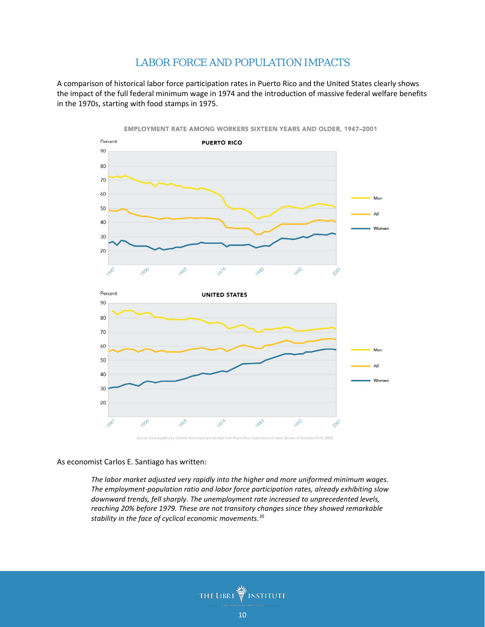### LABOR FORCE AND POPULATION IMPACTS

A comparison of historical labor force participation rates in Puerto Rico and the United States clearly shows the impact of the full federal minimum wage in 1974 and the introduction of massive federal welfare benefits in the 1970s, starting with food stamps in 1975.



As economist Carlos E. Santiago has written:

*The labor market adjusted very rapidly into the higher and more uniformed minimum wages. The employment-population ratio and labor force participation rates, already exhibiting slow downward trends, fell sharply. The unemployment rate increased to unprecedented levels, reaching 20% before 1979. These are not transitory changes since they showed remarkable stability in the face of cyclical economic movements.[35](#page-18-10)*

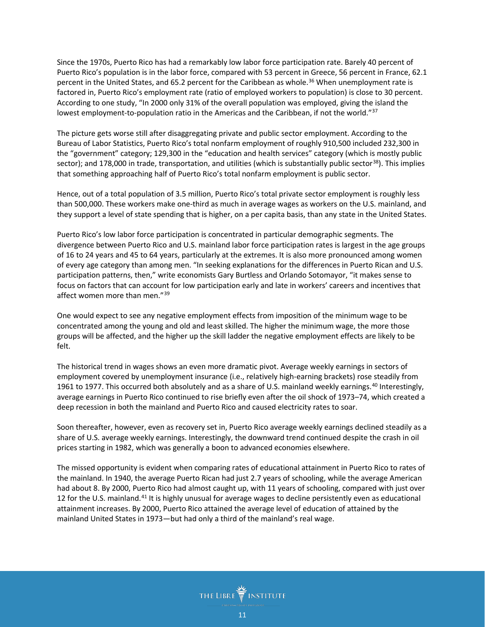Since the 1970s, Puerto Rico has had a remarkably low labor force participation rate. Barely 40 percent of Puerto Rico's population is in the labor force, compared with 53 percent in Greece, 56 percent in France, 62.1 percent in the United States, and 65.2 percent for the Caribbean as whole.<sup>[36](#page-18-11)</sup> When unemployment rate is factored in, Puerto Rico's employment rate (ratio of employed workers to population) is close to 30 percent. According to one study, "In 2000 only 31% of the overall population was employed, giving the island the lowest employment-to-population ratio in the Americas and the Caribbean, if not the world."<sup>[37](#page-18-12)</sup>

The picture gets worse still after disaggregating private and public sector employment. According to the Bureau of Labor Statistics, Puerto Rico's total nonfarm employment of roughly 910,500 included 232,300 in the "government" category; 129,300 in the "education and health services" category (which is mostly public sector); and 178,000 in trade, transportation, and utilities (which is substantially public sector<sup>[38](#page-19-0)</sup>). This implies that something approaching half of Puerto Rico's total nonfarm employment is public sector.

Hence, out of a total population of 3.5 million, Puerto Rico's total private sector employment is roughly less than 500,000. These workers make one-third as much in average wages as workers on the U.S. mainland, and they support a level of state spending that is higher, on a per capita basis, than any state in the United States.

Puerto Rico's low labor force participation is concentrated in particular demographic segments. The divergence between Puerto Rico and U.S. mainland labor force participation rates is largest in the age groups of 16 to 24 years and 45 to 64 years, particularly at the extremes. It is also more pronounced among women of every age category than among men. "In seeking explanations for the differences in Puerto Rican and U.S. participation patterns, then," write economists Gary Burtless and Orlando Sotomayor, "it makes sense to focus on factors that can account for low participation early and late in workers' careers and incentives that affect women more than men."<sup>[39](#page-19-1)</sup>

One would expect to see any negative employment effects from imposition of the minimum wage to be concentrated among the young and old and least skilled. The higher the minimum wage, the more those groups will be affected, and the higher up the skill ladder the negative employment effects are likely to be felt.

The historical trend in wages shows an even more dramatic pivot. Average weekly earnings in sectors of employment covered by unemployment insurance (i.e., relatively high-earning brackets) rose steadily from 1961 to 1977. This occurred both absolutely and as a share of U.S. mainland weekly earnings.<sup>[40](#page-19-2)</sup> Interestingly, average earnings in Puerto Rico continued to rise briefly even after the oil shock of 1973–74, which created a deep recession in both the mainland and Puerto Rico and caused electricity rates to soar.

Soon thereafter, however, even as recovery set in, Puerto Rico average weekly earnings declined steadily as a share of U.S. average weekly earnings. Interestingly, the downward trend continued despite the crash in oil prices starting in 1982, which was generally a boon to advanced economies elsewhere.

The missed opportunity is evident when comparing rates of educational attainment in Puerto Rico to rates of the mainland. In 1940, the average Puerto Rican had just 2.7 years of schooling, while the average American had about 8. By 2000, Puerto Rico had almost caught up, with 11 years of schooling, compared with just over 12 for the U.S. mainland.[41](#page-19-3) It is highly unusual for average wages to decline persistently even as educational attainment increases. By 2000, Puerto Rico attained the average level of education of attained by the mainland United States in 1973—but had only a third of the mainland's real wage.

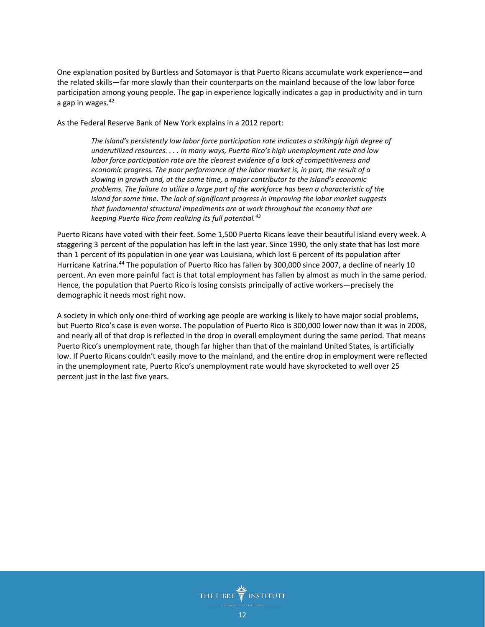One explanation posited by Burtless and Sotomayor is that Puerto Ricans accumulate work experience—and the related skills—far more slowly than their counterparts on the mainland because of the low labor force participation among young people. The gap in experience logically indicates a gap in productivity and in turn a gap in wages. $42$ 

As the Federal Reserve Bank of New York explains in a 2012 report:

*The Island's persistently low labor force participation rate indicates a strikingly high degree of underutilized resources. . . . In many ways, Puerto Rico's high unemployment rate and low labor force participation rate are the clearest evidence of a lack of competitiveness and economic progress. The poor performance of the labor market is, in part, the result of a slowing in growth and, at the same time, a major contributor to the Island's economic problems. The failure to utilize a large part of the workforce has been a characteristic of the Island for some time. The lack of significant progress in improving the labor market suggests that fundamental structural impediments are at work throughout the economy that are keeping Puerto Rico from realizing its full potential.[43](#page-19-5)*

Puerto Ricans have voted with their feet. Some 1,500 Puerto Ricans leave their beautiful island every week. A staggering 3 percent of the population has left in the last year. Since 1990, the only state that has lost more than 1 percent of its population in one year was Louisiana, which lost 6 percent of its population after Hurricane Katrina.<sup>[44](#page-19-6)</sup> The population of Puerto Rico has fallen by 300,000 since 2007, a decline of nearly 10 percent. An even more painful fact is that total employment has fallen by almost as much in the same period. Hence, the population that Puerto Rico is losing consists principally of active workers—precisely the demographic it needs most right now.

A society in which only one-third of working age people are working is likely to have major social problems, but Puerto Rico's case is even worse. The population of Puerto Rico is 300,000 lower now than it was in 2008, and nearly all of that drop is reflected in the drop in overall employment during the same period. That means Puerto Rico's unemployment rate, though far higher than that of the mainland United States, is artificially low. If Puerto Ricans couldn't easily move to the mainland, and the entire drop in employment were reflected in the unemployment rate, Puerto Rico's unemployment rate would have skyrocketed to well over 25 percent just in the last five years.

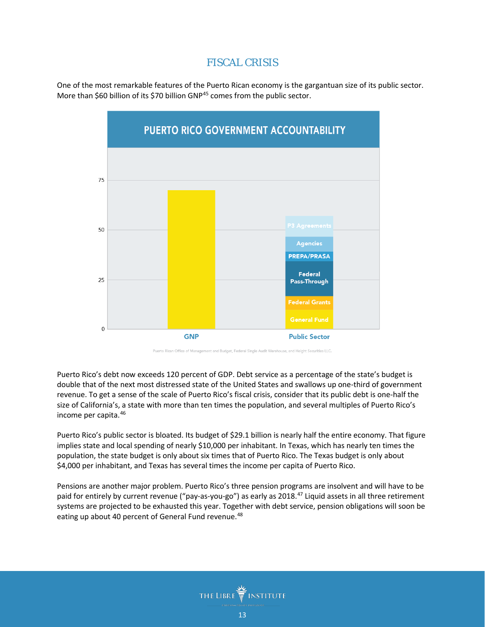#### FISCAL CRISIS

One of the most remarkable features of the Puerto Rican economy is the gargantuan size of its public sector. More than \$60 billion of its \$70 billion GNP<sup>45</sup> comes from the public sector.



Rican Office of Management and Budget, Federal Single Audit War

Puerto Rico's debt now exceeds 100 percent of GNP. Debt service as a percentage of the state's budget is double that of the next most distressed state of the United States and swallows up one-third of government revenue. To get a sense of the scale of Puerto Rico's fiscal crisis, consider that its public debt is one-half the size of California's, a state with more than ten times the population, and several multiples of Puerto Rico's income per capita.[46](#page-19-8)

Puerto Rico's public sector is bloated. Its budget of \$29.1 billion is nearly half the entire economy. That figure implies state and local spending of nearly \$10,000 per inhabitant. In Texas, which has nearly ten times the population, the state budget is only about six times that of Puerto Rico. The Texas budget is only about \$4,000 per inhabitant, and Texas has several times the income per capita of Puerto Rico.

Pensions are another major problem. Puerto Rico's three pension programs are insolvent and will have to be paid for entirely by current revenue ("pay-as-you-go") as early as 2018.<sup>[47](#page-19-9)</sup> Liquid assets in all three retirement systems are projected to be exhausted this year. Together with debt service, pension obligations will soon be eating up about 40 percent of General Fund revenue.<sup>[48](#page-19-10)</sup>

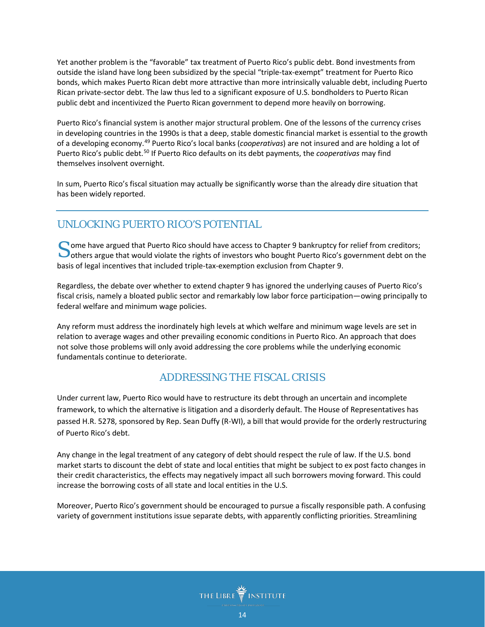Yet another problem is the "favorable" tax treatment of Puerto Rico's public debt. Bond investments from outside the island have long been subsidized by the special "triple-tax-exempt" treatment for Puerto Rico bonds, which makes Puerto Rican debt more attractive than more intrinsically valuable debt, including Puerto Rican private-sector debt. The law thus led to a significant exposure of U.S. bondholders to Puerto Rican public debt and incentivized the Puerto Rican government to depend more heavily on borrowing.

Puerto Rico's financial system is another major structural problem. One of the lessons of the currency crises in developing countries in the 1990s is that a deep, stable domestic financial market is essential to the growth of a developing economy.[49](#page-19-11) Puerto Rico's local banks (*cooperativas*) are not insured and are holding a lot of Puerto Rico's public debt.[50](#page-19-12) If Puerto Rico defaults on its debt payments, the *cooperativas* may find themselves insolvent overnight.

In sum, Puerto Rico's fiscal situation may actually be significantly worse than the already dire situation that has been widely reported.

# UNLOCKING PUERTO RICO'S POTENTIAL

ome have argued that Puerto Rico should have access to Chapter 9 bankruptcy for relief from creditors; Some have argued that Puerto Rico should have access to Chapter 9 bankruptcy for relief from creditors;<br>
others argue that would violate the rights of investors who bought Puerto Rico's government debt on the basis of legal incentives that included triple-tax-exemption exclusion from Chapter 9.

Regardless, the debate over whether to extend chapter 9 has ignored the underlying causes of Puerto Rico's fiscal crisis, namely a bloated public sector and remarkably low labor force participation—owing principally to federal welfare and minimum wage policies.

Any reform must address the inordinately high levels at which welfare and minimum wage levels are set in relation to average wages and other prevailing economic conditions in Puerto Rico. An approach that does not solve those problems will only avoid addressing the core problems while the underlying economic fundamentals continue to deteriorate.

# ADDRESSING THE FISCAL CRISIS

Under current law, Puerto Rico would have to restructure its debt through an uncertain and incomplete framework, to which the alternative is litigation and a disorderly default. The House of Representatives has passed H.R. 5278, sponsored by Rep. Sean Duffy (R-WI), a bill that would provide for the orderly restructuring of Puerto Rico's debt.

Any change in the legal treatment of any category of debt should respect the rule of law. If the U.S. bond market starts to discount the debt of state and local entities that might be subject to ex post facto changes in their credit characteristics, the effects may negatively impact all such borrowers moving forward. This could increase the borrowing costs of all state and local entities in the U.S.

Moreover, Puerto Rico's government should be encouraged to pursue a fiscally responsible path. A confusing variety of government institutions issue separate debts, with apparently conflicting priorities. Streamlining

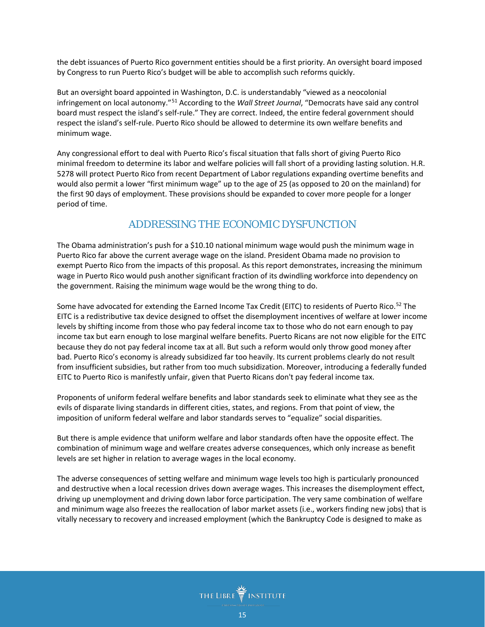the debt issuances of Puerto Rico government entities should be a first priority. An oversight board imposed by Congress to run Puerto Rico's budget will be able to accomplish such reforms quickly.

But an oversight board appointed in Washington, D.C. is understandably "viewed as a neocolonial infringement on local autonomy."[51](#page-19-13) According to the *Wall Street Journal*, "Democrats have said any control board must respect the island's self-rule." They are correct. Indeed, the entire federal government should respect the island's self-rule. Puerto Rico should be allowed to determine its own welfare benefits and minimum wage.

Any congressional effort to deal with Puerto Rico's fiscal situation that falls short of giving Puerto Rico minimal freedom to determine its labor and welfare policies will fall short of a providing lasting solution. H.R. 5278 will protect Puerto Rico from recent Department of Labor regulations expanding overtime benefits and would also permit a lower "first minimum wage" up to the age of 25 (as opposed to 20 on the mainland) for the first 90 days of employment. These provisions should be expanded to cover more people for a longer period of time.

### ADDRESSING THE ECONOMIC DYSFUNCTION

The Obama administration's push for a \$10.10 national minimum wage would push the minimum wage in Puerto Rico far above the current average wage on the island. President Obama made no provision to exempt Puerto Rico from the impacts of this proposal. As this report demonstrates, increasing the minimum wage in Puerto Rico would push another significant fraction of its dwindling workforce into dependency on the government. Raising the minimum wage would be the wrong thing to do.

Some have advocated for extending the Earned Income Tax Credit (EITC) to residents of Puerto Rico.<sup>[52](#page-19-14)</sup> The EITC is a redistributive tax device designed to offset the disemployment incentives of welfare at lower income levels by shifting income from those who pay federal income tax to those who do not earn enough to pay income tax but earn enough to lose marginal welfare benefits. Puerto Ricans are not now eligible for the EITC because they do not pay federal income tax at all. But such a reform would only throw good money after bad. Puerto Rico's economy is already subsidized far too heavily. Its current problems clearly do not result from insufficient subsidies, but rather from too much subsidization. Moreover, introducing a federally funded EITC to Puerto Rico is manifestly unfair, given that Puerto Ricans don't pay federal income tax.

Proponents of uniform federal welfare benefits and labor standards seek to eliminate what they see as the evils of disparate living standards in different cities, states, and regions. From that point of view, the imposition of uniform federal welfare and labor standards serves to "equalize" social disparities.

But there is ample evidence that uniform welfare and labor standards often have the opposite effect. The combination of minimum wage and welfare creates adverse consequences, which only increase as benefit levels are set higher in relation to average wages in the local economy.

The adverse consequences of setting welfare and minimum wage levels too high is particularly pronounced and destructive when a local recession drives down average wages. This increases the disemployment effect, driving up unemployment and driving down labor force participation. The very same combination of welfare and minimum wage also freezes the reallocation of labor market assets (i.e., workers finding new jobs) that is vitally necessary to recovery and increased employment (which the Bankruptcy Code is designed to make as

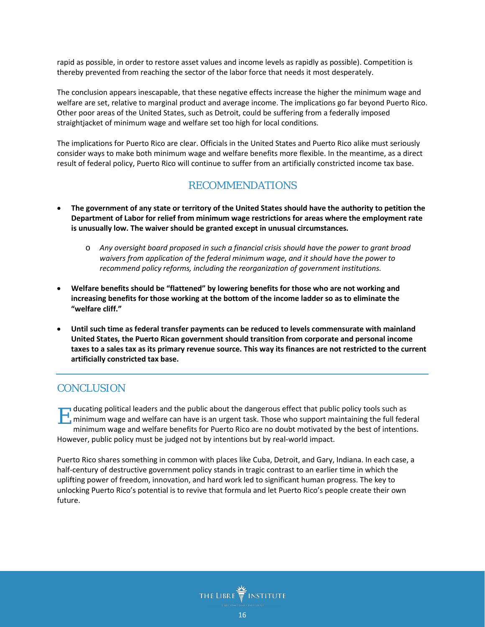rapid as possible, in order to restore asset values and income levels as rapidly as possible). Competition is thereby prevented from reaching the sector of the labor force that needs it most desperately.

The conclusion appears inescapable, that these negative effects increase the higher the minimum wage and welfare are set, relative to marginal product and average income. The implications go far beyond Puerto Rico. Other poor areas of the United States, such as Detroit, could be suffering from a federally imposed straightjacket of minimum wage and welfare set too high for local conditions.

The implications for Puerto Rico are clear. Officials in the United States and Puerto Rico alike must seriously consider ways to make both minimum wage and welfare benefits more flexible. In the meantime, as a direct result of federal policy, Puerto Rico will continue to suffer from an artificially constricted income tax base.

#### RECOMMENDATIONS

- The government of any state or territory of the United States should have the authority to petition the **Department of Labor for relief from minimum wage restrictions for areas where the employment rate is unusually low. The waiver should be granted except in unusual circumstances.**
	- o *Any oversight board proposed in such a financial crisis should have the power to grant broad waivers from application of the federal minimum wage, and it should have the power to recommend policy reforms, including the reorganization of government institutions.*
- **Welfare benefits should be "flattened" by lowering benefits for those who are not working and increasing benefits for those working at the bottom of the income ladder so as to eliminate the "welfare cliff."**
- **Until such time as federal transfer payments can be reduced to levels commensurate with mainland United States, the Puerto Rican government should transition from corporate and personal income** taxes to a sales tax as its primary revenue source. This way its finances are not restricted to the current **artificially constricted tax base.**

# **CONCLUSION**

ducating political leaders and the public about the dangerous effect that public policy tools such as If ducating political leaders and the public about the dangerous effect that public policy tools such as<br>minimum wage and welfare can have is an urgent task. Those who support maintaining the full federal<br>minimum wage and minimum wage and welfare benefits for Puerto Rico are no doubt motivated by the best of intentions. However, public policy must be judged not by intentions but by real-world impact.

Puerto Rico shares something in common with places like Cuba, Detroit, and Gary, Indiana. In each case, a half-century of destructive government policy stands in tragic contrast to an earlier time in which the uplifting power of freedom, innovation, and hard work led to significant human progress. The key to unlocking Puerto Rico's potential is to revive that formula and let Puerto Rico's people create their own future.

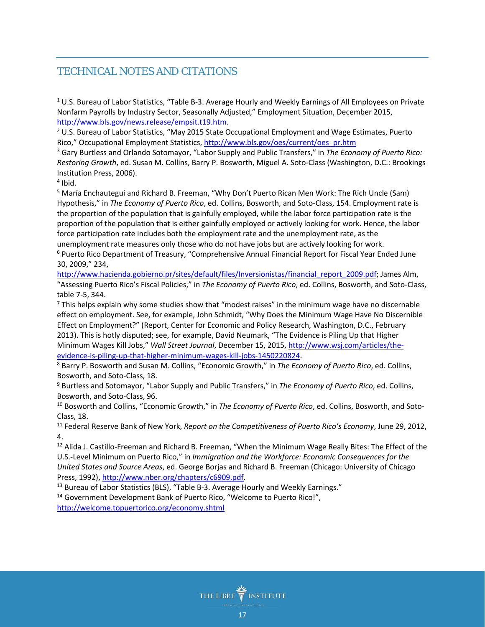# TECHNICAL NOTES AND CITATIONS

<sup>1</sup> U.S. Bureau of Labor Statistics, "Table B-3. Average Hourly and Weekly Earnings of All Employees on Private Nonfarm Payrolls by Industry Sector, Seasonally Adjusted," Employment Situation, December 2015, [http://www.bls.gov/news.release/empsit.t19.htm.](http://www.bls.gov/news.release/empsit.t19.htm)

 $2$  U.S. Bureau of Labor Statistics, "May 2015 State Occupational Employment and Wage Estimates, Puerto Rico," Occupational Employment Statistics, [http://www.bls.gov/oes/current/oes\\_pr.htm](http://www.bls.gov/oes/current/oes_pr.htm)

<sup>3</sup> Gary Burtless and Orlando Sotomayor, "Labor Supply and Public Transfers," in *The Economy of Puerto Rico: Restoring Growth*, ed. Susan M. Collins, Barry P. Bosworth, Miguel A. Soto-Class (Washington, D.C.: Brookings Institution Press, 2006).

 $4$  Ibid.

<sup>5</sup> María Enchautegui and Richard B. Freeman, "Why Don't Puerto Rican Men Work: The Rich Uncle (Sam) Hypothesis," in *The Economy of Puerto Rico*, ed. Collins, Bosworth, and Soto-Class, 154. Employment rate is the proportion of the population that is gainfully employed, while the labor force participation rate is the proportion of the population that is either gainfully employed or actively looking for work. Hence, the labor force participation rate includes both the employment rate and the unemployment rate, as the unemployment rate measures only those who do not have jobs but are actively looking for work.

<sup>6</sup> Puerto Rico Department of Treasury, "Comprehensive Annual Financial Report for Fiscal Year Ended June 30, 2009," 234,

[http://www.hacienda.gobierno.pr/sites/default/files/Inversionistas/financial\\_report\\_2009.pdf;](http://www.hacienda.gobierno.pr/sites/default/files/Inversionistas/financial_report_2009.pdf) James Alm, "Assessing Puerto Rico's Fiscal Policies," in *The Economy of Puerto Rico*, ed. Collins, Bosworth, and Soto-Class, table 7-5, 344.

<sup>7</sup> This helps explain why some studies show that "modest raises" in the minimum wage have no discernable effect on employment. See, for example, John Schmidt, "Why Does the Minimum Wage Have No Discernible Effect on Employment?" (Report, Center for Economic and Policy Research, Washington, D.C., February 2013). This is hotly disputed; see, for example, David Neumark, "The Evidence is Piling Up that Higher Minimum Wages Kill Jobs," *Wall Street Journal*, December 15, 2015, [http://www.wsj.com/articles/the](http://www.wsj.com/articles/the-evidence-is-piling-up-that-higher-minimum-wages-kill-jobs-1450220824)[evidence-is-piling-up-that-higher-minimum-wages-kill-jobs-1450220824.](http://www.wsj.com/articles/the-evidence-is-piling-up-that-higher-minimum-wages-kill-jobs-1450220824)

<sup>8</sup> Barry P. Bosworth and Susan M. Collins, "Economic Growth," in *The Economy of Puerto Rico*, ed. Collins, Bosworth, and Soto-Class, 18.

<sup>9</sup> Burtless and Sotomayor, "Labor Supply and Public Transfers," in *The Economy of Puerto Rico*, ed. Collins, Bosworth, and Soto-Class, 96.

<sup>10</sup> Bosworth and Collins, "Economic Growth," in *The Economy of Puerto Rico*, ed. Collins, Bosworth, and Soto-Class, 18.

<sup>11</sup> Federal Reserve Bank of New York, *Report on the Competitiveness of Puerto Rico's Economy*, June 29, 2012, 4.

<sup>12</sup> Alida J. Castillo-Freeman and Richard B. Freeman, "When the Minimum Wage Really Bites: The Effect of the U.S.-Level Minimum on Puerto Rico," in *Immigration and the Workforce: Economic Consequences for the United States and Source Areas*, ed. George Borjas and Richard B. Freeman (Chicago: University of Chicago Press, 1992), [http://www.nber.org/chapters/c6909.pdf.](http://www.nber.org/chapters/c6909.pdf)

<sup>13</sup> Bureau of Labor Statistics (BLS), "Table B-3. Average Hourly and Weekly Earnings."

<sup>14</sup> Government Development Bank of Puerto Rico, "Welcome to Puerto Rico!", <http://welcome.topuertorico.org/economy.shtml>

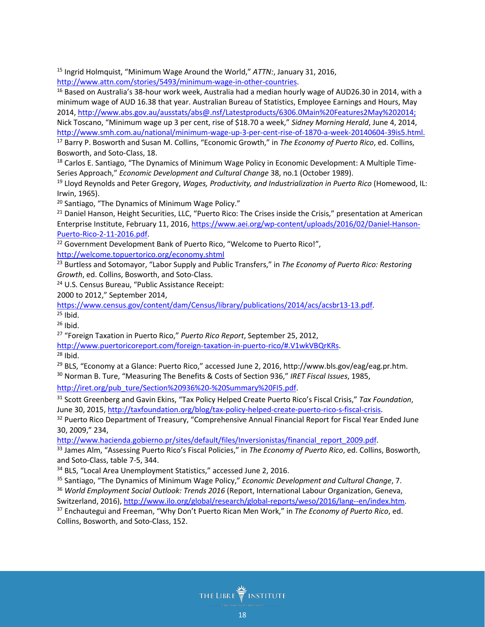<sup>15</sup> Ingrid Holmquist, "Minimum Wage Around the World," *ATTN:*, January 31, 2016,

[http://www.attn.com/stories/5493/minimum-wage-in-other-countries.](http://www.attn.com/stories/5493/minimum-wage-in-other-countries)

<span id="page-17-0"></span><sup>16</sup> Based on Australia's 38-hour work week, Australia had a median hourly wage of AUD26.30 in 2014, with a minimum wage of AUD 16.38 that year. Australian Bureau of Statistics, Employee Earnings and Hours, May 2014[, http://www.abs.gov.au/ausstats/abs@.nsf/Latestproducts/6306.0Main%20Features2May%202014;](http://www.abs.gov.au/ausstats/abs@.nsf/Latestproducts/6306.0Main%20Features2May%202014) Nick Toscano, "Minimum wage up 3 per cent, rise of \$18.70 a week," *Sidney Morning Herald*, June 4, 2014, [http://www.smh.com.au/national/minimum-wage-up-3-per-cent-rise-of-1870-a-week-20140604-39is5.html.](http://www.smh.com.au/national/minimum-wage-up-3-per-cent-rise-of-1870-a-week-20140604-39is5.html) <sup>17</sup> Barry P. Bosworth and Susan M. Collins, "Economic Growth," in *The Economy of Puerto Rico*, ed. Collins, Bosworth, and Soto-Class, 18.

<span id="page-17-2"></span><span id="page-17-1"></span><sup>18</sup> Carlos E. Santiago, "The Dynamics of Minimum Wage Policy in Economic Development: A Multiple Time-Series Approach," *Economic Development and Cultural Change* 38, no.1 (October 1989).

<span id="page-17-4"></span><span id="page-17-3"></span><sup>19</sup> Lloyd Reynolds and Peter Gregory, *Wages, Productivity, and Industrialization in Puerto Rico* (Homewood, IL: Irwin, 1965).

<sup>20</sup> Santiago, "The Dynamics of Minimum Wage Policy."

<sup>21</sup> Daniel Hanson, Height Securities, LLC, "Puerto Rico: The Crises inside the Crisis," presentation at American Enterprise Institute, February 11, 2016, [https://www.aei.org/wp-content/uploads/2016/02/Daniel-Hanson-](https://www.aei.org/wp-content/uploads/2016/02/Daniel-Hanson-Puerto-Rico-2-11-2016.pdf)[Puerto-Rico-2-11-2016.pdf.](https://www.aei.org/wp-content/uploads/2016/02/Daniel-Hanson-Puerto-Rico-2-11-2016.pdf)

<span id="page-17-5"></span><sup>22</sup> Government Development Bank of Puerto Rico, "Welcome to Puerto Rico!", <http://welcome.topuertorico.org/economy.shtml>

<sup>23</sup> Burtless and Sotomayor, "Labor Supply and Public Transfers," in *The Economy of Puerto Rico: Restoring Growth*, ed. Collins, Bosworth, and Soto-Class.

<sup>24</sup> U.S. Census Bureau, "Public Assistance Receipt:

2000 to 2012," September 2014,

<span id="page-17-6"></span>[https://www.census.gov/content/dam/Census/library/publications/2014/acs/acsbr13-13.pdf.](https://www.census.gov/content/dam/Census/library/publications/2014/acs/acsbr13-13.pdf)

 $25$  Ibid.

 $26$  Ibid.

<sup>27</sup> "Foreign Taxation in Puerto Rico," *Puerto Rico Report*, September 25, 2012,

[http://www.puertoricoreport.com/foreign-taxation-in-puerto-rico/#.V1wkVBQrKRs.](http://www.puertoricoreport.com/foreign-taxation-in-puerto-rico/#.V1wkVBQrKRs)

 $28$  Ibid.

<span id="page-17-7"></span><sup>29</sup> BLS, "Economy at a Glance: Puerto Rico," accessed June 2, 2016, http://www.bls.gov/eag/eag.pr.htm.

<sup>30</sup> Norman B. Ture, "Measuring The Benefits & Costs of Section 936," *IRET Fiscal Issues*, 1985,

<span id="page-17-8"></span>[http://iret.org/pub\\_ture/Section%20936%20-%20Summary%20FI5.pdf.](http://iret.org/pub_ture/Section%20936%20-%20Summary%20FI5.pdf)

<span id="page-17-9"></span><sup>31</sup> Scott Greenberg and Gavin Ekins, "Tax Policy Helped Create Puerto Rico's Fiscal Crisis," *Tax Foundation*, June 30, 2015, [http://taxfoundation.org/blog/tax-policy-helped-create-puerto-rico-s-fiscal-crisis.](http://taxfoundation.org/blog/tax-policy-helped-create-puerto-rico-s-fiscal-crisis)

<span id="page-17-10"></span><sup>32</sup> Puerto Rico Department of Treasury, "Comprehensive Annual Financial Report for Fiscal Year Ended June 30, 2009," 234,

[http://www.hacienda.gobierno.pr/sites/default/files/Inversionistas/financial\\_report\\_2009.pdf.](http://www.hacienda.gobierno.pr/sites/default/files/Inversionistas/financial_report_2009.pdf)

<span id="page-17-11"></span><sup>33</sup> James Alm, "Assessing Puerto Rico's Fiscal Policies," in *The Economy of Puerto Rico*, ed. Collins, Bosworth, and Soto-Class, table 7-5, 344.

<sup>34</sup> BLS, "Local Area Unemployment Statistics," accessed June 2, 2016.

<span id="page-17-12"></span><sup>35</sup> Santiago, "The Dynamics of Minimum Wage Policy," *Economic Development and Cultural Change*, 7. <sup>36</sup> *World Employment Social Outlook: Trends 2016* (Report, International Labour Organization, Geneva,

<span id="page-17-13"></span>Switzerland, 2016), [http://www.ilo.org/global/research/global-reports/weso/2016/lang--en/index.htm.](http://www.ilo.org/global/research/global-reports/weso/2016/lang--en/index.htm)

<sup>37</sup> Enchautegui and Freeman, "Why Don't Puerto Rican Men Work," in *The Economy of Puerto Rico*, ed. Collins, Bosworth, and Soto-Class, 152.

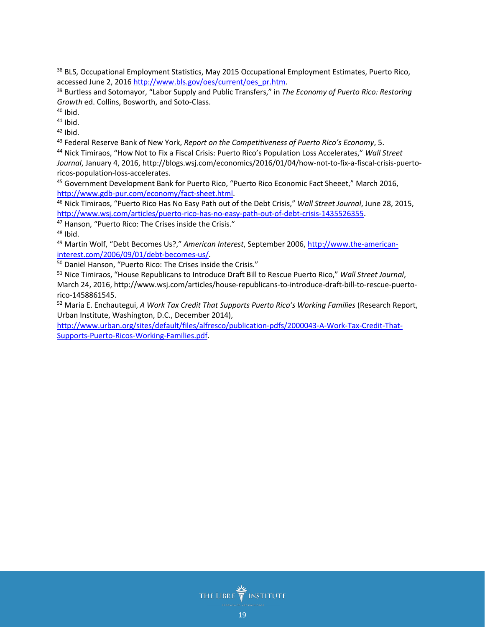<span id="page-18-0"></span><sup>38</sup> BLS, Occupational Employment Statistics, May 2015 Occupational Employment Estimates, Puerto Rico, accessed June 2, 201[6 http://www.bls.gov/oes/current/oes\\_pr.htm.](http://www.bls.gov/oes/current/oes_pr.htm)

<span id="page-18-1"></span><sup>39</sup> Burtless and Sotomayor, "Labor Supply and Public Transfers," in *The Economy of Puerto Rico: Restoring Growth* ed. Collins, Bosworth, and Soto-Class.

 $40$  Ibid.

 $41$  Ibid.

 $42$  Ibid.

<span id="page-18-2"></span><sup>43</sup> Federal Reserve Bank of New York, *Report on the Competitiveness of Puerto Rico's Economy*, 5.

<span id="page-18-3"></span><sup>44</sup> Nick Timiraos, "How Not to Fix a Fiscal Crisis: Puerto Rico's Population Loss Accelerates," *Wall Street Journal*, January 4, 2016, http://blogs.wsj.com/economics/2016/01/04/how-not-to-fix-a-fiscal-crisis-puertoricos-population-loss-accelerates.

<sup>45</sup> Government Development Bank for Puerto Rico, "Puerto Rico Economic Fact Sheeet," March 2016, [http://www.gdb-pur.com/economy/fact-sheet.html.](http://www.gdb-pur.com/economy/fact-sheet.html)

<span id="page-18-5"></span><span id="page-18-4"></span><sup>46</sup> Nick Timiraos, "Puerto Rico Has No Easy Path out of the Debt Crisis," *Wall Street Journal*, June 28, 2015, [http://www.wsj.com/articles/puerto-rico-has-no-easy-path-out-of-debt-crisis-1435526355.](http://www.wsj.com/articles/puerto-rico-has-no-easy-path-out-of-debt-crisis-1435526355)

<sup>47</sup> Hanson, "Puerto Rico: The Crises inside the Crisis."

<sup>48</sup> Ibid.

<span id="page-18-6"></span><sup>49</sup> Martin Wolf, "Debt Becomes Us?," *American Interest*, September 2006[, http://www.the-american](http://www.the-american-interest.com/2006/09/01/debt-becomes-us/)[interest.com/2006/09/01/debt-becomes-us/.](http://www.the-american-interest.com/2006/09/01/debt-becomes-us/)

<span id="page-18-7"></span><sup>50</sup> Daniel Hanson, "Puerto Rico: The Crises inside the Crisis."

<span id="page-18-8"></span><sup>51</sup> Nice Timiraos, "House Republicans to Introduce Draft Bill to Rescue Puerto Rico," *Wall Street Journal*, March 24, 2016, http://www.wsj.com/articles/house-republicans-to-introduce-draft-bill-to-rescue-puertorico-1458861545.

<span id="page-18-9"></span><sup>52</sup> María E. Enchautegui, *A Work Tax Credit That Supports Puerto Rico's Working Families* (Research Report, Urban Institute, Washington, D.C., December 2014),

<span id="page-18-12"></span><span id="page-18-11"></span><span id="page-18-10"></span>[http://www.urban.org/sites/default/files/alfresco/publication-pdfs/2000043-A-Work-Tax-Credit-That-](http://www.urban.org/sites/default/files/alfresco/publication-pdfs/2000043-A-Work-Tax-Credit-That-Supports-Puerto-Ricos-Working-Families.pdf)[Supports-Puerto-Ricos-Working-Families.pdf.](http://www.urban.org/sites/default/files/alfresco/publication-pdfs/2000043-A-Work-Tax-Credit-That-Supports-Puerto-Ricos-Working-Families.pdf)